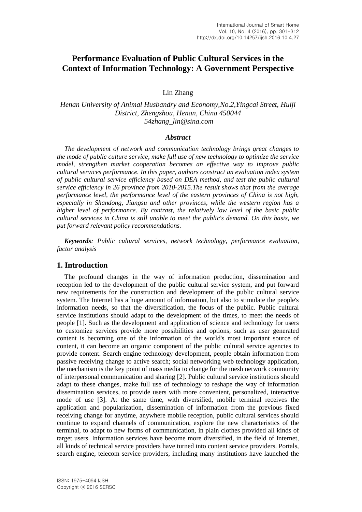# **Performance Evaluation of Public Cultural Services in the Context of Information Technology: A Government Perspective**

Lin Zhang

## *Henan University of Animal Husbandry and Economy,No.2,Yingcai Street, Huiji District, Zhengzhou, Henan, China 450044 54zhang\_lin@sina.com*

#### *Abstract*

*The development of network and communication technology brings great changes to the mode of public culture service, make full use of new technology to optimize the service model, strengthen market cooperation becomes an effective way to improve public cultural services performance. In this paper, authors construct an evaluation index system of public cultural service efficiency based on DEA method, and test the public cultural service efficiency in 26 province from 2010-2015.The result shows that from the average performance level, the performance level of the eastern provinces of China is not high, especially in Shandong, Jiangsu and other provinces, while the western region has a higher level of performance. By contrast, the relatively low level of the basic public cultural services in China is still unable to meet the public's demand. On this basis, we put forward relevant policy recommendations.*

*Keywords: Public cultural services, network technology, performance evaluation, factor analysis*

### **1. Introduction**

The profound changes in the way of information production, dissemination and reception led to the development of the public cultural service system, and put forward new requirements for the construction and development of the public cultural service system. The Internet has a huge amount of information, but also to stimulate the people's information needs, so that the diversification, the focus of the public. Public cultural service institutions should adapt to the development of the times, to meet the needs of people [1]. Such as the development and application of science and technology for users to customize services provide more possibilities and options, such as user generated content is becoming one of the information of the world's most important source of content, it can become an organic component of the public cultural service agencies to provide content. Search engine technology development, people obtain information from passive receiving change to active search; social networking web technology application, the mechanism is the key point of mass media to change for the mesh network community of interpersonal communication and sharing [2]. Public cultural service institutions should adapt to these changes, make full use of technology to reshape the way of information dissemination services, to provide users with more convenient, personalized, interactive mode of use [3]. At the same time, with diversified, mobile terminal receives the application and popularization, dissemination of information from the previous fixed receiving change for anytime, anywhere mobile reception, public cultural services should continue to expand channels of communication, explore the new characteristics of the terminal, to adapt to new forms of communication, in plain clothes provided all kinds of target users. Information services have become more diversified, in the field of Internet, all kinds of technical service providers have turned into content service providers. Portals, search engine, telecom service providers, including many institutions have launched the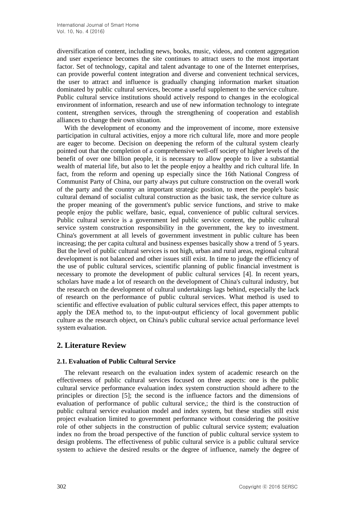diversification of content, including news, books, music, videos, and content aggregation and user experience becomes the site continues to attract users to the most important factor. Set of technology, capital and talent advantage to one of the Internet enterprises, can provide powerful content integration and diverse and convenient technical services, the user to attract and influence is gradually changing information market situation dominated by public cultural services, become a useful supplement to the service culture. Public cultural service institutions should actively respond to changes in the ecological environment of information, research and use of new information technology to integrate content, strengthen services, through the strengthening of cooperation and establish alliances to change their own situation.

With the development of economy and the improvement of income, more extensive participation in cultural activities, enjoy a more rich cultural life, more and more people are eager to become. Decision on deepening the reform of the cultural system clearly pointed out that the completion of a comprehensive well-off society of higher levels of the benefit of over one billion people, it is necessary to allow people to live a substantial wealth of material life, but also to let the people enjoy a healthy and rich cultural life. In fact, from the reform and opening up especially since the 16th National Congress of Communist Party of China, our party always put culture construction on the overall work of the party and the country an important strategic position, to meet the people's basic cultural demand of socialist cultural construction as the basic task, the service culture as the proper meaning of the government's public service functions, and strive to make people enjoy the public welfare, basic, equal, convenience of public cultural services. Public cultural service is a government led public service content, the public cultural service system construction responsibility in the government, the key to investment. China's government at all levels of government investment in public culture has been increasing; the per capita cultural and business expenses basically show a trend of 5 years. But the level of public cultural services is not high, urban and rural areas, regional cultural development is not balanced and other issues still exist. In time to judge the efficiency of the use of public cultural services, scientific planning of public financial investment is necessary to promote the development of public cultural services [4]. In recent years, scholars have made a lot of research on the development of China's cultural industry, but the research on the development of cultural undertakings lags behind, especially the lack of research on the performance of public cultural services. What method is used to scientific and effective evaluation of public cultural services effect, this paper attempts to apply the DEA method to, to the input-output efficiency of local government public culture as the research object, on China's public cultural service actual performance level system evaluation.

## **2. Literature Review**

### **2.1. Evaluation of Public Cultural Service**

The relevant research on the evaluation index system of academic research on the effectiveness of public cultural services focused on three aspects: one is the public cultural service performance evaluation index system construction should adhere to the principles or direction [5]; the second is the influence factors and the dimensions of evaluation of performance of public cultural service,; the third is the construction of public cultural service evaluation model and index system, but these studies still exist project evaluation limited to government performance without considering the positive role of other subjects in the construction of public cultural service system; evaluation index no from the broad perspective of the function of public cultural service system to design problems. The effectiveness of public cultural service is a public cultural service system to achieve the desired results or the degree of influence, namely the degree of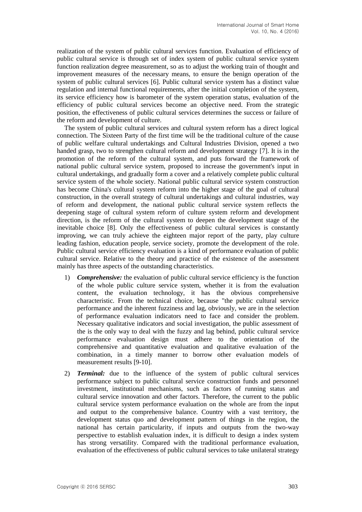realization of the system of public cultural services function. Evaluation of efficiency of public cultural service is through set of index system of public cultural service system function realization degree measurement, so as to adjust the working train of thought and improvement measures of the necessary means, to ensure the benign operation of the system of public cultural services [6]. Public cultural service system has a distinct value regulation and internal functional requirements, after the initial completion of the system, its service efficiency how is barometer of the system operation status, evaluation of the efficiency of public cultural services become an objective need. From the strategic position, the effectiveness of public cultural services determines the success or failure of the reform and development of culture.

The system of public cultural services and cultural system reform has a direct logical connection. The Sixteen Party of the first time will be the traditional culture of the cause of public welfare cultural undertakings and Cultural Industries Division, opened a two handed grasp, two to strengthen cultural reform and development strategy [7]. It is in the promotion of the reform of the cultural system, and puts forward the framework of national public cultural service system, proposed to increase the government's input in cultural undertakings, and gradually form a cover and a relatively complete public cultural service system of the whole society. National public cultural service system construction has become China's cultural system reform into the higher stage of the goal of cultural construction, in the overall strategy of cultural undertakings and cultural industries, way of reform and development, the national public cultural service system reflects the deepening stage of cultural system reform of culture system reform and development direction, is the reform of the cultural system to deepen the development stage of the inevitable choice [8]. Only the effectiveness of public cultural services is constantly improving, we can truly achieve the eighteen major report of the party, play culture leading fashion, education people, service society, promote the development of the role. Public cultural service efficiency evaluation is a kind of performance evaluation of public cultural service. Relative to the theory and practice of the existence of the assessment mainly has three aspects of the outstanding characteristics.

- 1) *Comprehensive:* the evaluation of public cultural service efficiency is the function of the whole public culture service system, whether it is from the evaluation content, the evaluation technology, it has the obvious comprehensive characteristic. From the technical choice, because "the public cultural service performance and the inherent fuzziness and lag, obviously, we are in the selection of performance evaluation indicators need to face and consider the problem. Necessary qualitative indicators and social investigation, the public assessment of the is the only way to deal with the fuzzy and lag behind, public cultural service performance evaluation design must adhere to the orientation of the comprehensive and quantitative evaluation and qualitative evaluation of the combination, in a timely manner to borrow other evaluation models of measurement results [9-10].
- 2) *Terminal:* due to the influence of the system of public cultural services performance subject to public cultural service construction funds and personnel investment, institutional mechanisms, such as factors of running status and cultural service innovation and other factors. Therefore, the current to the public cultural service system performance evaluation on the whole are from the input and output to the comprehensive balance. Country with a vast territory, the development status quo and development pattern of things in the region, the national has certain particularity, if inputs and outputs from the two-way perspective to establish evaluation index, it is difficult to design a index system has strong versatility. Compared with the traditional performance evaluation, evaluation of the effectiveness of public cultural services to take unilateral strategy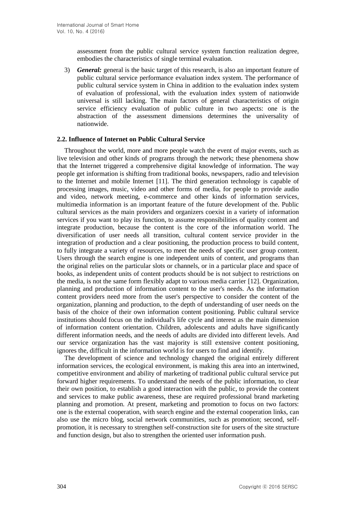assessment from the public cultural service system function realization degree, embodies the characteristics of single terminal evaluation.

3) *General:* general is the basic target of this research, is also an important feature of public cultural service performance evaluation index system. The performance of public cultural service system in China in addition to the evaluation index system of evaluation of professional, with the evaluation index system of nationwide universal is still lacking. The main factors of general characteristics of origin service efficiency evaluation of public culture in two aspects: one is the abstraction of the assessment dimensions determines the universality of nationwide.

#### **2.2. Influence of Internet on Public Cultural Service**

Throughout the world, more and more people watch the event of major events, such as live television and other kinds of programs through the network; these phenomena show that the Internet triggered a comprehensive digital knowledge of information. The way people get information is shifting from traditional books, newspapers, radio and television to the Internet and mobile Internet [11]. The third generation technology is capable of processing images, music, video and other forms of media, for people to provide audio and video, network meeting, e-commerce and other kinds of information services, multimedia information is an important feature of the future development of the. Public cultural services as the main providers and organizers coexist in a variety of information services if you want to play its function, to assume responsibilities of quality content and integrate production, because the content is the core of the information world. The diversification of user needs all transition, cultural content service provider in the integration of production and a clear positioning, the production process to build content, to fully integrate a variety of resources, to meet the needs of specific user group content. Users through the search engine is one independent units of content, and programs than the original relies on the particular slots or channels, or in a particular place and space of books, as independent units of content products should be is not subject to restrictions on the media, is not the same form flexibly adapt to various media carrier [12]. Organization, planning and production of information content to the user's needs. As the information content providers need more from the user's perspective to consider the content of the organization, planning and production, to the depth of understanding of user needs on the basis of the choice of their own information content positioning. Public cultural service institutions should focus on the individual's life cycle and interest as the main dimension of information content orientation. Children, adolescents and adults have significantly different information needs, and the needs of adults are divided into different levels. And our service organization has the vast majority is still extensive content positioning, ignores the, difficult in the information world is for users to find and identify.

The development of science and technology changed the original entirely different information services, the ecological environment, is making this area into an intertwined, competitive environment and ability of marketing of traditional public cultural service put forward higher requirements. To understand the needs of the public information, to clear their own position, to establish a good interaction with the public, to provide the content and services to make public awareness, these are required professional brand marketing planning and promotion. At present, marketing and promotion to focus on two factors: one is the external cooperation, with search engine and the external cooperation links, can also use the micro blog, social network communities, such as promotion; second, selfpromotion, it is necessary to strengthen self-construction site for users of the site structure and function design, but also to strengthen the oriented user information push.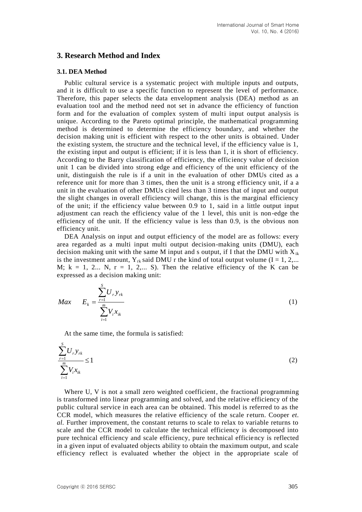### **3. Research Method and Index**

#### **3.1. DEA Method**

Public cultural service is a systematic project with multiple inputs and outputs, and it is difficult to use a specific function to represent the level of performance. Therefore, this paper selects the data envelopment analysis (DEA) method as an evaluation tool and the method need not set in advance the efficiency of function form and for the evaluation of complex system of multi input output analysis is unique. According to the Pareto optimal principle, the mathematical programming method is determined to determine the efficiency boundary, and whether the decision making unit is efficient with respect to the other units is obtained. Under the existing system, the structure and the technical level, if the efficiency value is 1, the existing input and output is efficient; if it is less than 1, it is short of efficiency. According to the Barry classification of efficiency, the efficiency value of decision unit 1 can be divided into strong edge and efficiency of the unit efficiency of the unit, distinguish the rule is if a unit in the evaluation of other DMUs cited as a reference unit for more than 3 times, then the unit is a strong efficiency unit, if a a unit in the evaluation of other DMUs cited less than 3 times that of input and output the slight changes in overall efficiency will change, this is the marginal efficiency of the unit; if the efficiency value between 0.9 to 1, said in a little output input adjustment can reach the efficiency value of the 1 level, this unit is non-edge the efficiency of the unit. If the efficiency value is less than 0.9, is the obvious non efficiency unit.

DEA Analysis on input and output efficiency of the model are as follows: every area regarded as a multi input multi output decision-making units (DMU), each decision making unit with the same M input and s output, if I that the DMU with  $X_{ik}$ is the investment amount,  $Y_{rk}$  said DMU r the kind of total output volume (I = 1, 2,... M;  $k = 1, 2...$  N,  $r = 1, 2...$  S). Then the relative efficiency of the K can be expressed as a decision making unit:

$$
Max \t E_k = \frac{\sum_{r=1}^{S} U_r y_{rk}}{\sum_{i=1}^{m} V_i x_{ik}}
$$
 (1)

At the same time, the formula is satisfied:

$$
\frac{\sum_{r=1}^{S} U_r y_{rk}}{\sum_{i=1}^{m} V_i x_{ik}} \le 1
$$
\n(2)

Where U, V is not a small zero weighted coefficient, the fractional programming is transformed into linear programming and solved, and the relative efficiency of the public cultural service in each area can be obtained. This model is referred to as the CCR model, which measures the relative efficiency of the scale return. Cooper *et*. *al.* Further improvement, the constant returns to scale to relax to variable returns to scale and the CCR model to calculate the technical efficiency is decomposed into pure technical efficiency and scale efficiency, pure technical efficiency is reflected in a given input of evaluated objects ability to obtain the maximum output, and scale efficiency reflect is evaluated whether the object in the appropriate scale of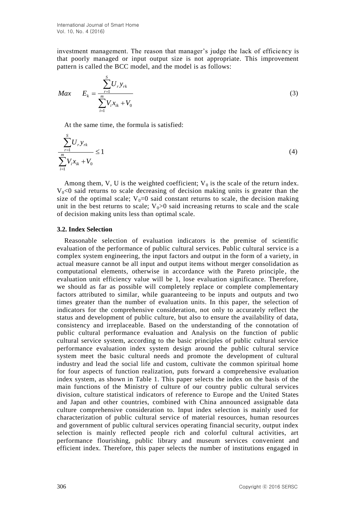investment management. The reason that manager's judge the lack of efficiency is that poorly managed or input output size is not appropriate. This improvement pattern is called the BCC model, and the model is as follows:

$$
Max \t E_k = \frac{\sum_{r=1}^{S} U_r y_{rk}}{\sum_{i=1}^{m} V_i x_{ik} + V_0}
$$
\t(3)

At the same time, the formula is satisfied:

$$
\frac{\sum_{r=1}^{S} U_r y_{rk}}{\sum_{i=1}^{m} V_i x_{ik} + V_0} \le 1
$$
\n(4)

Among them, V, U is the weighted coefficient;  $V_0$  is the scale of the return index.  $V_0<0$  said returns to scale decreasing of decision making units is greater than the size of the optimal scale;  $V_0=0$  said constant returns to scale, the decision making unit in the best returns to scale;  $V_0 > 0$  said increasing returns to scale and the scale of decision making units less than optimal scale.

#### **3.2. Index Selection**

Reasonable selection of evaluation indicators is the premise of scientific evaluation of the performance of public cultural services. Public cultural service is a complex system engineering, the input factors and output in the form of a variety, in actual measure cannot be all input and output items without merger consolidation as computational elements, otherwise in accordance with the Pareto principle, the evaluation unit efficiency value will be 1, lose evaluation significance. Therefore, we should as far as possible will completely replace or complete complementary factors attributed to similar, while guaranteeing to be inputs and outputs and two times greater than the number of evaluation units. In this paper, the selection of indicators for the comprehensive consideration, not only to accurately reflect the status and development of public culture, but also to ensure the availability of data, consistency and irreplaceable. Based on the understanding of the connotation of public cultural performance evaluation and Analysis on the function of public cultural service system, according to the basic principles of public cultural service performance evaluation index system design around the public cultural service system meet the basic cultural needs and promote the development of cultural industry and lead the social life and custom, cultivate the common spiritual home for four aspects of function realization, puts forward a comprehensive evaluation index system, as shown in Table 1. This paper selects the index on the basis of the main functions of the Ministry of culture of our country public cultural services division, culture statistical indicators of reference to Europe and the United States and Japan and other countries, combined with China announced assignable data culture comprehensive consideration to. Input index selection is mainly used for characterization of public cultural service of material resources, human resources and government of public cultural services operating financial security, output index selection is mainly reflected people rich and colorful cultural activities, art performance flourishing, public library and museum services convenient and efficient index. Therefore, this paper selects the number of institutions engaged in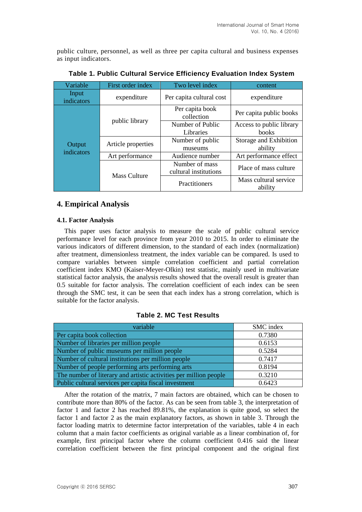public culture, personnel, as well as three per capita cultural and business expenses as input indicators.

| Variable             | First order index   | Two level index                         | content                           |  |
|----------------------|---------------------|-----------------------------------------|-----------------------------------|--|
| Input<br>indicators  | expenditure         | Per capita cultural cost                | expenditure                       |  |
|                      | public library      | Per capita book<br>collection           | Per capita public books           |  |
|                      |                     | Number of Public<br>Libraries           | Access to public library<br>books |  |
| Output<br>indicators | Article properties  | Number of public<br>museums             | Storage and Exhibition<br>ability |  |
|                      | Art performance     | Audience number                         | Art performance effect            |  |
|                      | <b>Mass Culture</b> | Number of mass<br>cultural institutions | Place of mass culture             |  |
|                      |                     | Practitioners                           | Mass cultural service<br>ability  |  |

**Table 1. Public Cultural Service Efficiency Evaluation Index System**

### **4. Empirical Analysis**

### **4.1. Factor Analysis**

This paper uses factor analysis to measure the scale of public cultural service performance level for each province from year 2010 to 2015. In order to eliminate the various indicators of different dimension, to the standard of each index (normalization) after treatment, dimensionless treatment, the index variable can be compared. Is used to compare variables between simple correlation coefficient and partial correlation coefficient index KMO (Kaiser-Meyer-Olkin) test statistic, mainly used in multivariate statistical factor analysis, the analysis results showed that the overall result is greater than 0.5 suitable for factor analysis. The correlation coefficient of each index can be seen through the SMC test, it can be seen that each index has a strong correlation, which is suitable for the factor analysis.

### **Table 2. MC Test Results**

| variable                                                          | SMC index |
|-------------------------------------------------------------------|-----------|
| Per capita book collection                                        | 0.7380    |
| Number of libraries per million people                            | 0.6153    |
| Number of public museums per million people                       | 0.5284    |
| Number of cultural institutions per million people                | 0.7417    |
| Number of people performing arts performing arts                  | 0.8194    |
| The number of literary and artistic activities per million people | 0.3210    |
| Public cultural services per capita fiscal investment             | 0.6423    |

After the rotation of the matrix, 7 main factors are obtained, which can be chosen to contribute more than 80% of the factor. As can be seen from table 3, the interpretation of factor 1 and factor 2 has reached 89.81%, the explanation is quite good, so select the factor 1 and factor 2 as the main explanatory factors, as shown in table 3. Through the factor loading matrix to determine factor interpretation of the variables, table 4 in each column that a main factor coefficients as original variable as a linear combination of, for example, first principal factor where the column coefficient 0.416 said the linear correlation coefficient between the first principal component and the original first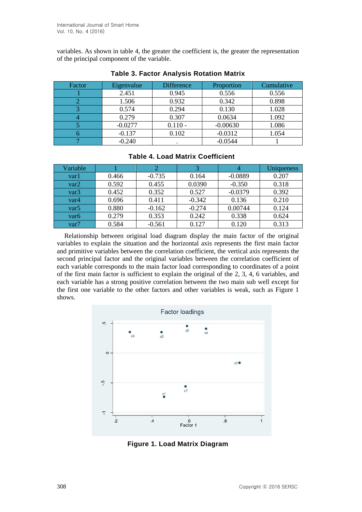variables. As shown in table 4, the greater the coefficient is, the greater the representation of the principal component of the variable.

| Factor | Eigenvalue | <b>Difference</b> | Proportion | Cumulative |  |
|--------|------------|-------------------|------------|------------|--|
|        | 2.451      | 0.945             | 0.556      | 0.556      |  |
|        | 1.506      | 0.932             | 0.342      | 0.898      |  |
|        | 0.574      | 0.294             | 0.130      | 1.028      |  |
|        | 0.279      | 0.307             | 0.0634     | 1.092      |  |
|        | $-0.0277$  | $0.110 -$         | $-0.00630$ | 1.086      |  |
|        | $-0.137$   | 0.102             | $-0.0312$  | 1.054      |  |
|        | $-0.240$   |                   | $-0.0544$  |            |  |

### **Table 3. Factor Analysis Rotation Matrix**

| $1$ udiv ti lvuu Inuliia vooliiviviil |       |          |          |           |            |  |  |
|---------------------------------------|-------|----------|----------|-----------|------------|--|--|
| Variable                              |       |          |          |           | Uniqueness |  |  |
| var1                                  | 0.466 | $-0.735$ | 0.164    | $-0.0889$ | 0.207      |  |  |
| var2                                  | 0.592 | 0.455    | 0.0390   | $-0.350$  | 0.318      |  |  |
| var3                                  | 0.452 | 0.352    | 0.527    | $-0.0379$ | 0.392      |  |  |
| var4                                  | 0.696 | 0.411    | $-0.342$ | 0.136     | 0.210      |  |  |
| var5                                  | 0.880 | $-0.162$ | $-0.274$ | 0.00744   | 0.124      |  |  |
| var6                                  | 0.279 | 0.353    | 0.242    | 0.338     | 0.624      |  |  |

### **Table 4. Load Matrix Coefficient**

Relationship between original load diagram display the main factor of the original variables to explain the situation and the horizontal axis represents the first main factor and primitive variables between the correlation coefficient, the vertical axis represents the second principal factor and the original variables between the correlation coefficient of each variable corresponds to the main factor load corresponding to coordinates of a point of the first main factor is sufficient to explain the original of the 2, 3, 4, 6 variables, and each variable has a strong positive correlation between the two main sub well except for the first one variable to the other factors and other variables is weak, such as Figure 1 shows.

var7 | 0.584 | -0.561 | 0.127 | 0.120 | 0.313



**Figure 1. Load Matrix Diagram**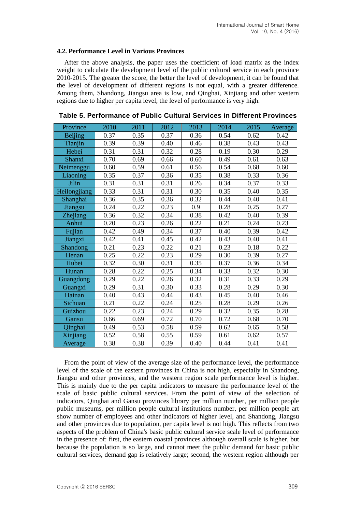#### **4.2. Performance Level in Various Provinces**

After the above analysis, the paper uses the coefficient of load matrix as the index weight to calculate the development level of the public cultural service in each province 2010-2015. The greater the score, the better the level of development, it can be found that the level of development of different regions is not equal, with a greater difference. Among them, Shandong, Jiangsu area is low, and Qinghai, Xinjiang and other western regions due to higher per capita level, the level of performance is very high.

| Province        | 2010 | 2011 | 2012 | 2013 | 2014 | 2015 | Average |
|-----------------|------|------|------|------|------|------|---------|
| <b>Beijing</b>  | 0.37 | 0.35 | 0.37 | 0.36 | 0.54 | 0.62 | 0.42    |
| Tianjin         | 0.39 | 0.39 | 0.40 | 0.46 | 0.38 | 0.43 | 0.43    |
| Hebei           | 0.31 | 0.31 | 0.32 | 0.28 | 0.19 | 0.30 | 0.29    |
| Shanxi          | 0.70 | 0.69 | 0.66 | 0.60 | 0.49 | 0.61 | 0.63    |
| Neimenggu       | 0.60 | 0.59 | 0.61 | 0.56 | 0.54 | 0.68 | 0.60    |
| Liaoning        | 0.35 | 0.37 | 0.36 | 0.35 | 0.38 | 0.33 | 0.36    |
| Jilin           | 0.31 | 0.31 | 0.31 | 0.26 | 0.34 | 0.37 | 0.33    |
| Heilongjiang    | 0.33 | 0.31 | 0.31 | 0.30 | 0.35 | 0.40 | 0.35    |
| Shanghai        | 0.36 | 0.35 | 0.36 | 0.32 | 0.44 | 0.40 | 0.41    |
| Jiangsu         | 0.24 | 0.22 | 0.23 | 0.9  | 0.28 | 0.25 | 0.27    |
| Zhejiang        | 0.36 | 0.32 | 0.34 | 0.38 | 0.42 | 0.40 | 0.39    |
| Anhui           | 0.20 | 0.23 | 0.26 | 0.22 | 0.21 | 0.24 | 0.23    |
| Fujian          | 0.42 | 0.49 | 0.34 | 0.37 | 0.40 | 0.39 | 0.42    |
| Jiangxi         | 0.42 | 0.41 | 0.45 | 0.42 | 0.43 | 0.40 | 0.41    |
| <b>Shandong</b> | 0.21 | 0.23 | 0.22 | 0.21 | 0.23 | 0.18 | 0.22    |
| Henan           | 0.25 | 0.22 | 0.23 | 0.29 | 0.30 | 0.39 | 0.27    |
| Hubei           | 0.32 | 0.30 | 0.31 | 0.35 | 0.37 | 0.36 | 0.34    |
| Hunan           | 0.28 | 0.22 | 0.25 | 0.34 | 0.33 | 0.32 | 0.30    |
| Guangdong       | 0.29 | 0.22 | 0.26 | 0.32 | 0.31 | 0.33 | 0.29    |
| Guangxi         | 0.29 | 0.31 | 0.30 | 0.33 | 0.28 | 0.29 | 0.30    |
| Hainan          | 0.40 | 0.43 | 0.44 | 0.43 | 0.45 | 0.40 | 0.46    |
| Sichuan         | 0.21 | 0.22 | 0.24 | 0.25 | 0.28 | 0.29 | 0.26    |
| Guizhou         | 0.22 | 0.23 | 0.24 | 0.29 | 0.32 | 0.35 | 0.28    |
| Gansu           | 0.66 | 0.69 | 0.72 | 0.70 | 0.72 | 0.68 | 0.70    |
| Qinghai         | 0.49 | 0.53 | 0.58 | 0.59 | 0.62 | 0.65 | 0.58    |
| Xinjiang        | 0.52 | 0.58 | 0.55 | 0.59 | 0.61 | 0.62 | 0.57    |
| Average         | 0.38 | 0.38 | 0.39 | 0.40 | 0.44 | 0.41 | 0.41    |

**Table 5. Performance of Public Cultural Services in Different Provinces**

From the point of view of the average size of the performance level, the performance level of the scale of the eastern provinces in China is not high, especially in Shandong, Jiangsu and other provinces, and the western region scale performance level is higher. This is mainly due to the per capita indicators to measure the performance level of the scale of basic public cultural services. From the point of view of the selection of indicators, Qinghai and Gansu provinces library per million number, per million people public museums, per million people cultural institutions number, per million people art show number of employees and other indicators of higher level, and Shandong, Jiangsu and other provinces due to population, per capita level is not high. This reflects from two aspects of the problem of China's basic public cultural service scale level of performance in the presence of: first, the eastern coastal provinces although overall scale is higher, but because the population is so large, and cannot meet the public demand for basic public cultural services, demand gap is relatively large; second, the western region although per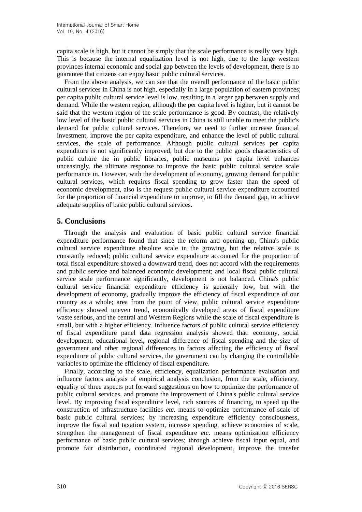capita scale is high, but it cannot be simply that the scale performance is really very high. This is because the internal equalization level is not high, due to the large western provinces internal economic and social gap between the levels of development, there is no guarantee that citizens can enjoy basic public cultural services.

From the above analysis, we can see that the overall performance of the basic public cultural services in China is not high, especially in a large population of eastern provinces; per capita public cultural service level is low, resulting in a larger gap between supply and demand. While the western region, although the per capita level is higher, but it cannot be said that the western region of the scale performance is good. By contrast, the relatively low level of the basic public cultural services in China is still unable to meet the public's demand for public cultural services. Therefore, we need to further increase financial investment, improve the per capita expenditure, and enhance the level of public cultural services, the scale of performance. Although public cultural services per capita expenditure is not significantly improved, but due to the public goods characteristics of public culture the in public libraries, public museums per capita level enhances unceasingly, the ultimate response to improve the basic public cultural service scale performance in. However, with the development of economy, growing demand for public cultural services, which requires fiscal spending to grow faster than the speed of economic development, also is the request public cultural service expenditure accounted for the proportion of financial expenditure to improve, to fill the demand gap, to achieve adequate supplies of basic public cultural services.

## **5. Conclusions**

Through the analysis and evaluation of basic public cultural service financial expenditure performance found that since the reform and opening up, China's public cultural service expenditure absolute scale in the growing, but the relative scale is constantly reduced; public cultural service expenditure accounted for the proportion of total fiscal expenditure showed a downward trend, does not accord with the requirements and public service and balanced economic development; and local fiscal public cultural service scale performance significantly, development is not balanced. China's public cultural service financial expenditure efficiency is generally low, but with the development of economy, gradually improve the efficiency of fiscal expenditure of our country as a whole; area from the point of view, public cultural service expenditure efficiency showed uneven trend, economically developed areas of fiscal expenditure waste serious, and the central and Western Regions while the scale of fiscal expenditure is small, but with a higher efficiency. Influence factors of public cultural service efficiency of fiscal expenditure panel data regression analysis showed that: economy, social development, educational level, regional difference of fiscal spending and the size of government and other regional differences in factors affecting the efficiency of fiscal expenditure of public cultural services, the government can by changing the controllable variables to optimize the efficiency of fiscal expenditure.

Finally, according to the scale, efficiency, equalization performance evaluation and influence factors analysis of empirical analysis conclusion, from the scale, efficiency, equality of three aspects put forward suggestions on how to optimize the performance of public cultural services, and promote the improvement of China's public cultural service level. By improving fiscal expenditure level, rich sources of financing, to speed up the construction of infrastructure facilities *etc.* means to optimize performance of scale of basic public cultural services; by increasing expenditure efficiency consciousness, improve the fiscal and taxation system, increase spending, achieve economies of scale, strengthen the management of fiscal expenditure *etc.* means optimization efficiency performance of basic public cultural services; through achieve fiscal input equal, and promote fair distribution, coordinated regional development, improve the transfer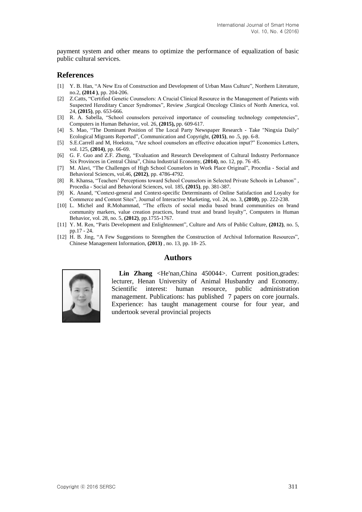payment system and other means to optimize the performance of equalization of basic public cultural services.

#### **References**

- [1] Y. B. Han, "A New Era of Construction and Development of Urban Mass Culture", Northern Literature, no.2, **(2014 )**, pp. 204-206.
- [2] Z.Catts, "Certified Genetic Counselors: A Crucial Clinical Resource in the Management of Patients with Suspected Hereditary Cancer Syndromes", Review ,Surgical Oncology Clinics of North America, vol. 24, **(2015)**, pp. 653-666.
- [3] R. A. Sabella, "School counselors perceived importance of counseling technology competencies", Computers in Human Behavior, vol. 26, **(2015),** pp. 609-617.
- [4] S. Mao, "The Dominant Position of The Local Party Newspaper Research Take "Ningxia Daily" Ecological Migrants Reported", Communication and Copyright, **(2015)**, no .5, pp. 6-8.
- [5] S.E.Carrell and M, Hoekstra, "Are school counselors an effective education input?" Economics Letters, vol. 125, **(2014)**, pp. 66-69.
- [6] G. F. Guo and Z.F. Zheng, "Evaluation and Research Development of Cultural Industry Performance Six Provinces in Central China", China Industrial Economy, **(2014)**, no. 12, pp. 76 -85.
- [7] M. Alavi, "The Challenges of High School Counselors in Work Place Original", Procedia Social and Behavioral Sciences, vol.46, **(2012)**, pp. 4786-4792.
- [8] R. Khansa, "Teachers' Perceptions toward School Counselors in Selected Private Schools in Lebanon" , Procedia - Social and Behavioral Sciences, vol. 185, **(2015)**, pp. 381-387.
- [9] K. Anand, "Context-general and Context-specific Determinants of Online Satisfaction and Loyalty for Commerce and Content Sites", Journal of Interactive Marketing, vol. 24, no. 3, **(2010)**, pp. 222-238.
- [10] L. Michel and R.Mohammad, "The effects of social media based brand communities on brand community markers, value creation practices, brand trust and brand loyalty", Computers in Human Behavior, vol. 28, no. 5, **(2012)**, pp.1755-1767.
- [11] Y. M. Ren, "Paris Development and Enlightenment", Culture and Arts of Public Culture, **(2012)**, no. 5, pp.17 - 24.
- [12] H. B. Jing, "A Few Suggestions to Strengthen the Construction of Archival Information Resources", Chinese Management Information, **(2013)** , no. 13, pp. 18- 25.

### **Authors**



**Lin Zhang** <He'nan,China 450044>. Current position,grades: lecturer, Henan University of Animal Husbandry and Economy. Scientific interest: human resource, public administration management. Publications: has published 7 papers on core journals. Experience: has taught management course for four year, and undertook several provincial projects